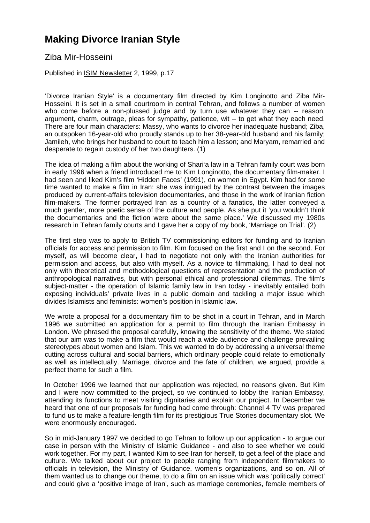## **Making Divorce Iranian Style**

Ziba Mir-Hosseini

Published in ISIM Newsletter 2, 1999, p.17

'Divorce Iranian Style' is a documentary film directed by Kim Longinotto and Ziba Mir-Hosseini. It is set in a small courtroom in central Tehran, and follows a number of women who come before a non-plussed judge and by turn use whatever they can -- reason, argument, charm, outrage, pleas for sympathy, patience, wit -- to get what they each need. There are four main characters: Massy, who wants to divorce her inadequate husband; Ziba, an outspoken 16-year-old who proudly stands up to her 38-year-old husband and his family; Jamileh, who brings her husband to court to teach him a lesson; and Maryam, remarried and desperate to regain custody of her two daughters. (1)

The idea of making a film about the working of Shari'a law in a Tehran family court was born in early 1996 when a friend introduced me to Kim Longinotto, the documentary film-maker. I had seen and liked Kim's film 'Hidden Faces' (1991), on women in Egypt. Kim had for some time wanted to make a film in Iran: she was intrigued by the contrast between the images produced by current-affairs television documentaries, and those in the work of Iranian fiction film-makers. The former portrayed Iran as a country of a fanatics, the latter conveyed a much gentler, more poetic sense of the culture and people. As she put it 'you wouldn't think the documentaries and the fiction were about the same place.' We discussed my 1980s research in Tehran family courts and I gave her a copy of my book, 'Marriage on Trial'. (2)

The first step was to apply to British TV commissioning editors for funding and to Iranian officials for access and permission to film. Kim focused on the first and I on the second. For myself, as will become clear, I had to negotiate not only with the Iranian authorities for permission and access, but also with myself. As a novice to filmmaking, I had to deal not only with theoretical and methodological questions of representation and the production of anthropological narratives, but with personal ethical and professional dilemmas. The film's subject-matter - the operation of Islamic family law in Iran today - inevitably entailed both exposing individuals' private lives in a public domain and tackling a major issue which divides Islamists and feminists: women's position in Islamic law.

We wrote a proposal for a documentary film to be shot in a court in Tehran, and in March 1996 we submitted an application for a permit to film through the Iranian Embassy in London. We phrased the proposal carefully, knowing the sensitivity of the theme. We stated that our aim was to make a film that would reach a wide audience and challenge prevailing stereotypes about women and Islam. This we wanted to do by addressing a universal theme cutting across cultural and social barriers, which ordinary people could relate to emotionally as well as intellectually. Marriage, divorce and the fate of children, we argued, provide a perfect theme for such a film.

In October 1996 we learned that our application was rejected, no reasons given. But Kim and I were now committed to the project, so we continued to lobby the Iranian Embassy, attending its functions to meet visiting dignitaries and explain our project. In December we heard that one of our proposals for funding had come through: Channel 4 TV was prepared to fund us to make a feature-length film for its prestigious True Stories documentary slot. We were enormously encouraged.

So in mid-January 1997 we decided to go Tehran to follow up our application - to argue our case in person with the Ministry of Islamic Guidance - and also to see whether we could work together. For my part, I wanted Kim to see Iran for herself, to get a feel of the place and culture. We talked about our project to people ranging from independent filmmakers to officials in television, the Ministry of Guidance, women's organizations, and so on. All of them wanted us to change our theme, to do a film on an issue which was 'politically correct' and could give a 'positive image of Iran', such as marriage ceremonies, female members of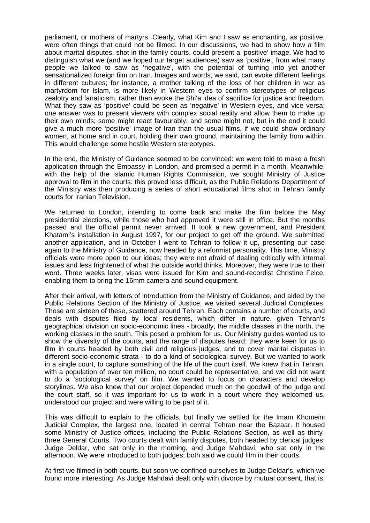parliament, or mothers of martyrs. Clearly, what Kim and I saw as enchanting, as positive, were often things that could not be filmed. In our discussions, we had to show how a film about marital disputes, shot in the family courts, could present a 'positive' image. We had to distinguish what we (and we hoped our target audiences) saw as 'positive', from what many people we talked to saw as 'negative', with the potential of turning into yet another sensationalized foreign film on Iran. Images and words, we said, can evoke different feelings in different cultures; for instance, a mother talking of the loss of her children in war as martyrdom for Islam, is more likely in Western eyes to confirm stereotypes of religious zealotry and fanaticism, rather than evoke the Shi'a idea of sacrifice for justice and freedom. What they saw as 'positive' could be seen as 'negative' in Western eyes, and vice versa; one answer was to present viewers with complex social reality and allow them to make up their own minds; some might react favourably, and some might not, but in the end it could give a much more 'positive' image of Iran than the usual films, if we could show ordinary women, at home and in court, holding their own ground, maintaining the family from within. This would challenge some hostile Western stereotypes.

In the end, the Ministry of Guidance seemed to be convinced: we were told to make a fresh application through the Embassy in London, and promised a permit in a month. Meanwhile, with the help of the Islamic Human Rights Commission, we sought Ministry of Justice approval to film in the courts: this proved less difficult, as the Public Relations Department of the Ministry was then producing a series of short educational films shot in Tehran family courts for Iranian Television.

We returned to London, intending to come back and make the film before the May presidential elections, while those who had approved it were still in office. But the months passed and the official permit never arrived. It took a new government, and President Khatami's installation in August 1997, for our project to get off the ground. We submitted another application, and in October I went to Tehran to follow it up, presenting our case again to the Ministry of Guidance, now headed by a reformist personality. This time, Ministry officials were more open to our ideas; they were not afraid of dealing critically with internal issues and less frightened of what the outside world thinks. Moreover, they were true to their word. Three weeks later, visas were issued for Kim and sound-recordist Christine Felce, enabling them to bring the 16mm camera and sound equipment.

After their arrival, with letters of introduction from the Ministry of Guidance, and aided by the Public Relations Section of the Ministry of Justice, we visited several Judicial Complexes. These are sixteen of these, scattered around Tehran. Each contains a number of courts, and deals with disputes filed by local residents, which differ in nature, given Tehran's geographical division on socio-economic lines - broadly, the middle classes in the north, the working classes in the south. This posed a problem for us. Our Ministry guides wanted us to show the diversity of the courts, and the range of disputes heard; they were keen for us to film in courts headed by both civil and religious judges, and to cover marital disputes in different socio-economic strata - to do a kind of sociological survey. But we wanted to work in a single court, to capture something of the life of the court itself. We knew that in Tehran, with a population of over ten million, no court could be representative, and we did not want to do a 'sociological survey' on film. We wanted to focus on characters and develop storylines. We also knew that our project depended much on the goodwill of the judge and the court staff, so it was important for us to work in a court where they welcomed us, understood our project and were willing to be part of it.

This was difficult to explain to the officials, but finally we settled for the Imam Khomeini Judicial Complex, the largest one, located in central Tehran near the Bazaar. It housed some Ministry of Justice offices, including the Public Relations Section, as well as thirtythree General Courts. Two courts dealt with family disputes, both headed by clerical judges: Judge Deldar, who sat only in the morning, and Judge Mahdavi, who sat only in the afternoon. We were introduced to both judges; both said we could film in their courts.

At first we filmed in both courts, but soon we confined ourselves to Judge Deldar's, which we found more interesting. As Judge Mahdavi dealt only with divorce by mutual consent, that is,